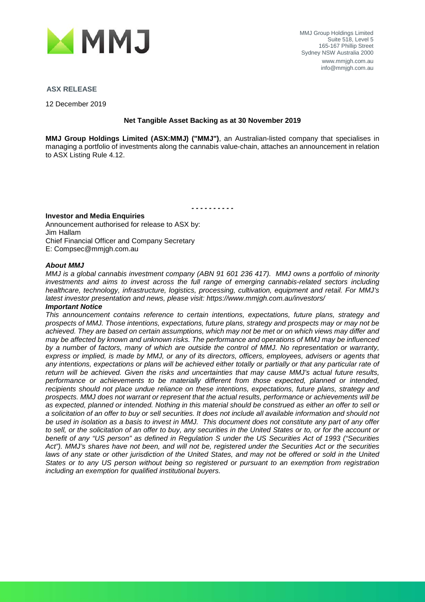

#### **ASX RELEASE**

12 December 2019

#### **Net Tangible Asset Backing as at 30 November 2019**

**MMJ Group Holdings Limited (ASX:MMJ) ("MMJ")**, an Australian-listed company that specialises in managing a portfolio of investments along the cannabis value-chain, attaches an announcement in relation to ASX Listing Rule 4.12.

*- - - - - - - - - -*

#### **Investor and Media Enquiries**

Announcement authorised for release to ASX by: Jim Hallam Chief Financial Officer and Company Secretary E: Compsec@mmjgh.com.au

#### *About MMJ*

*MMJ is a global cannabis investment company (ABN 91 601 236 417). MMJ owns a portfolio of minority investments and aims to invest across the full range of emerging cannabis-related sectors including healthcare, technology, infrastructure, logistics, processing, cultivation, equipment and retail. For MMJ's latest investor presentation and news, please visit: https://www.mmjgh.com.au/investors/*

#### *Important Notice*

*This announcement contains reference to certain intentions, expectations, future plans, strategy and prospects of MMJ. Those intentions, expectations, future plans, strategy and prospects may or may not be achieved. They are based on certain assumptions, which may not be met or on which views may differ and may be affected by known and unknown risks. The performance and operations of MMJ may be influenced by a number of factors, many of which are outside the control of MMJ. No representation or warranty, express or implied, is made by MMJ, or any of its directors, officers, employees, advisers or agents that*  any intentions, expectations or plans will be achieved either totally or partially or that any particular rate of *return will be achieved. Given the risks and uncertainties that may cause MMJ's actual future results, performance or achievements to be materially different from those expected, planned or intended, recipients should not place undue reliance on these intentions, expectations, future plans, strategy and prospects. MMJ does not warrant or represent that the actual results, performance or achievements will be as expected, planned or intended. Nothing in this material should be construed as either an offer to sell or a solicitation of an offer to buy or sell securities. It does not include all available information and should not be used in isolation as a basis to invest in MMJ. This document does not constitute any part of any offer to sell, or the solicitation of an offer to buy, any securities in the United States or to, or for the account or benefit of any "US person" as defined in Regulation S under the US Securities Act of 1993 ("Securities Act"). MMJ's shares have not been, and will not be, registered under the Securities Act or the securities*  laws of any state or other jurisdiction of the United States, and may not be offered or sold in the United *States or to any US person without being so registered or pursuant to an exemption from registration including an exemption for qualified institutional buyers.*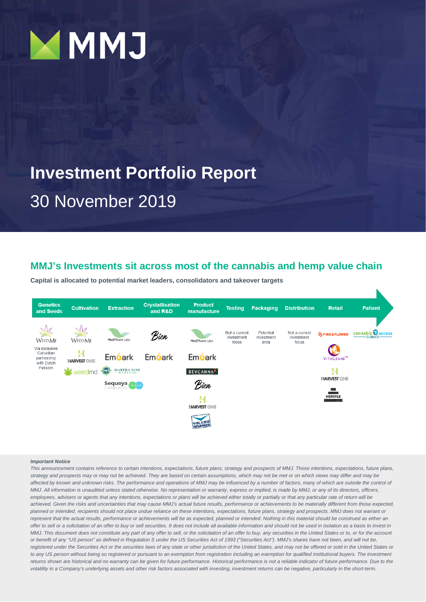

## **Investment Portfolio Report** 30 November 2019

#### **MMJ's Investments sit across most of the cannabis and hemp value chain**

**Capital is allocated to potential market leaders, consolidators and takeover targets**



#### *Important Notice*

*This announcement contains reference to certain intentions, expectations, future plans, strategy and prospects of MMJ. Those intentions, expectations, future plans, strategy and prospects may or may not be achieved. They are based on certain assumptions, which may not be met or on which views may differ and may be*  affected by known and unknown risks. The performance and operations of MMJ may be influenced by a number of factors, many of which are outside the control of *MMJ. All information is unaudited unless stated otherwise. No representation or warranty, express or implied, is made by MMJ, or any of its directors, officers, employees, advisers or agents that any intentions, expectations or plans will be achieved either totally or partially or that any particular rate of return will be achieved. Given the risks and uncertainties that may cause MMJ's actual future results, performance or achievements to be materially different from those expected, planned or intended, recipients should not place undue reliance on these intentions, expectations, future plans, strategy and prospects. MMJ does not warrant or*  represent that the actual results, performance or achievements will be as expected, planned or intended. Nothing in this material should be construed as either an offer to sell or a solicitation of an offer to buy or sell securities. It does not include all available information and should not be used in isolation as a basis to invest in *MMJ. This document does not constitute any part of any offer to sell, or the solicitation of an offer to buy, any securities in the United States or to, or for the account* or benefit of any "US person" as defined in Regulation S under the US Securities Act of 1993 ("Securities Act"). MMJ's shares have not been, and will not be, registered under the Securities Act or the securities laws of any state or other jurisdiction of the United States, and may not be offered or sold in the United States or *to any US person without being so registered or pursuant to an exemption from registration including an exemption for qualified institutional buyers. The investment*  returns shown are historical and no warranty can be given for future performance. Historical performance is not a reliable indicator of future performance. Due to the *volatility in a Company's underlying assets and other risk factors associated with investing, investment returns can be negative, particularly in the short-term.*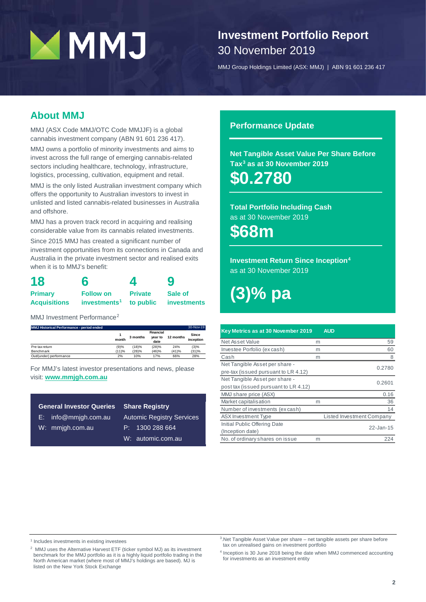## **Investment Portfolio Report** 30 November 2019

MMJ Group Holdings Limited (ASX: MMJ) | ABN 91 601 236 417

### **About MMJ**

MMJ (ASX Code MMJ/OTC Code MMJJF) is a global cannabis investment company (ABN 91 601 236 417).

MMJ owns a portfolio of minority investments and aims to invest across the full range of emerging cannabis-related sectors including healthcare, technology, infrastructure, logistics, processing, cultivation, equipment and retail.

MMJ is the only listed Australian investment company which offers the opportunity to Australian investors to invest in unlisted and listed cannabis-related businesses in Australia and offshore.

MMJ has a proven track record in acquiring and realising considerable value from its cannabis related investments.

Since 2015 MMJ has created a significant number of investment opportunities from its connections in Canada and Australia in the private investment sector and realised exits when it is to MMJ's benefit:

| 18                  | 6                        | 4              | 9           |  |  |
|---------------------|--------------------------|----------------|-------------|--|--|
| <b>Primary</b>      | <b>Follow on</b>         | <b>Private</b> | Sale of     |  |  |
| <b>Acquisitions</b> | investments <sup>1</sup> | to public      | investments |  |  |

MMJ Investment Performance<sup>[2](#page-2-1)</sup>

| MMJ Historical Performance - period ended |       |          |                              |           | 30-Nov-19          |
|-------------------------------------------|-------|----------|------------------------------|-----------|--------------------|
|                                           | month | 3 months | Financial<br>vear to<br>date | 12 months | Since<br>inception |
| Pre tax return                            | (9)%  | (18)%    | (28)%                        | 24%       | (3)%               |
| Benchmark                                 | (11)% | (28)%    | (46)%                        | (41)%     | (31)%              |
| Out/(under) performance                   | 2%    | 10%      | 17%                          | 66%       | 28%                |

For MMJ's latest investor presentations and news, please visit: **ww[w.mmjgh.com.au](http://www.mmjgh.com.au/)**

| <b>General Investor Queries</b> | <b>Share Registry</b>            |
|---------------------------------|----------------------------------|
| $E:$ info@mmigh.com.au          | <b>Automic Registry Services</b> |
| W: mmjgh.com.au                 | P: 1300288664                    |
|                                 | W: automic.com.au                |

#### **Performance Update**

**Net Tangible Asset Value Per Share Before Ta[x3](#page-2-2) as at 30 November 2019**

**\$0.2780**

**Total Portfolio Including Cash** as at 30 November 2019

**\$68m**

**Investment Return Since Inception[4](#page-2-3)** as at 30 November 2019

**(3)% pa**

| Key Metrics as at 30 November 2019    |   | <b>AUD</b>                |
|---------------------------------------|---|---------------------------|
| Net Asset Value                       | m | 59                        |
| Investee Porfolio (ex cash)           | m | 60                        |
| Cash                                  | m | 8                         |
| Net Tangible Asset per share -        |   | 0.2780                    |
| pre-tax (issued pursuant to LR 4.12)  |   |                           |
| Net Tangible Asset per share -        |   | 0.2601                    |
| post tax (issued pursuant to LR 4.12) |   |                           |
| MMJ share price (ASX)                 |   | 0.16                      |
| Market capitalisation                 | m | 36                        |
| Number of investments (ex cash)       |   | 14                        |
| ASX Investment Type                   |   | Listed Investment Company |
| Initial Public Offering Date          |   | $22 - Jan-15$             |
| (Inception date)                      |   |                           |
| No. of ordinary shares on issue       | m | 224                       |

<span id="page-2-2"></span><span id="page-2-0"></span><sup>1</sup> Includes investments in existing investees

<span id="page-2-3"></span><span id="page-2-1"></span><sup>2</sup> MMJ uses the Alternative Harvest ETF (ticker symbol MJ) as its investment benchmark for the MMJ portfolio as it is a highly liquid portfolio trading in the North American market (where most of MMJ's holdings are based). MJ is listed on the New York Stock Exchange

3.Net Tangible Asset Value per share – net tangible assets per share before tax on unrealised gains on investment portfolio

<sup>4</sup> Inception is 30 June 2018 being the date when MMJ commenced accounting for investments as an investment entity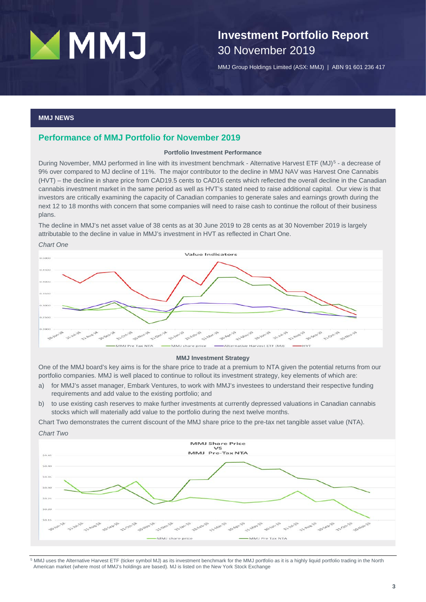## **Investment Portfolio Report** 30 November 2019

MMJ Group Holdings Limited (ASX: MMJ) | ABN 91 601 236 417

#### **MMJ NEWS**

#### **Performance of MMJ Portfolio for November 2019**

#### **Portfolio Investment Performance**

During November, MMJ performed in line with its investment benchmark - Alternative Harvest ETF (MJ)<sup>[5](#page-3-0)</sup> - a decrease of 9% over compared to MJ decline of 11%. The major contributor to the decline in MMJ NAV was Harvest One Cannabis (HVT) – the decline in share price from CAD19.5 cents to CAD16 cents which reflected the overall decline in the Canadian cannabis investment market in the same period as well as HVT's stated need to raise additional capital. Our view is that investors are critically examining the capacity of Canadian companies to generate sales and earnings growth during the next 12 to 18 months with concern that some companies will need to raise cash to continue the rollout of their business plans.

The decline in MMJ's net asset value of 38 cents as at 30 June 2019 to 28 cents as at 30 November 2019 is largely attributable to the decline in value in MMJ's investment in HVT as reflected in Chart One.



#### **MMJ Investment Strategy**

One of the MMJ board's key aims is for the share price to trade at a premium to NTA given the potential returns from our portfolio companies. MMJ is well placed to continue to rollout its investment strategy, key elements of which are:

- a) for MMJ's asset manager, Embark Ventures, to work with MMJ's investees to understand their respective funding requirements and add value to the existing portfolio; and
- b) to use existing cash reserves to make further investments at currently depressed valuations in Canadian cannabis stocks which will materially add value to the portfolio during the next twelve months.

Chart Two demonstrates the current discount of the MMJ share price to the pre-tax net tangible asset value (NTA).



<span id="page-3-0"></span><sup>5</sup> MMJ uses the Alternative Harvest ETF (ticker symbol MJ) as its investment benchmark for the MMJ portfolio as it is a highly liquid portfolio trading in the North American market (where most of MMJ's holdings are based). MJ is listed on the New York Stock Exchange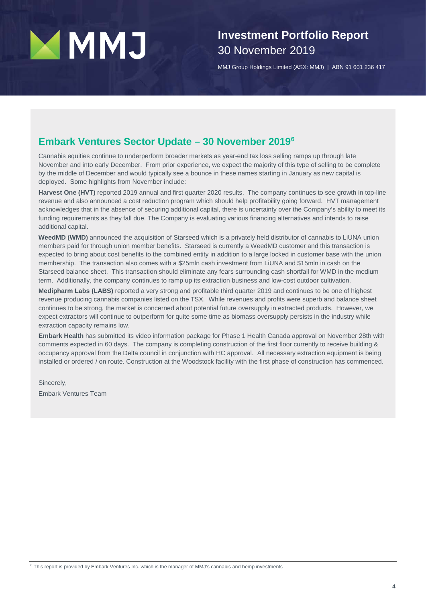## **Investment Portfolio Report** 30 November 2019

MMJ Group Holdings Limited (ASX: MMJ) | ABN 91 601 236 417

### **Embark Ventures Sector Update – 30 November 2019[6](#page-4-0)**

Cannabis equities continue to underperform broader markets as year-end tax loss selling ramps up through late November and into early December. From prior experience, we expect the majority of this type of selling to be complete by the middle of December and would typically see a bounce in these names starting in January as new capital is deployed. Some highlights from November include:

**Harvest One (HVT)** reported 2019 annual and first quarter 2020 results. The company continues to see growth in top-line revenue and also announced a cost reduction program which should help profitability going forward. HVT management acknowledges that in the absence of securing additional capital, there is uncertainty over the Company's ability to meet its funding requirements as they fall due. The Company is evaluating various financing alternatives and intends to raise additional capital.

**WeedMD (WMD)** announced the acquisition of Starseed which is a privately held distributor of cannabis to LiUNA union members paid for through union member benefits. Starseed is currently a WeedMD customer and this transaction is expected to bring about cost benefits to the combined entity in addition to a large locked in customer base with the union membership. The transaction also comes with a \$25mln cash investment from LiUNA and \$15mln in cash on the Starseed balance sheet. This transaction should eliminate any fears surrounding cash shortfall for WMD in the medium term. Additionally, the company continues to ramp up its extraction business and low-cost outdoor cultivation.

**Medipharm Labs (LABS)** reported a very strong and profitable third quarter 2019 and continues to be one of highest revenue producing cannabis companies listed on the TSX. While revenues and profits were superb and balance sheet continues to be strong, the market is concerned about potential future oversupply in extracted products. However, we expect extractors will continue to outperform for quite some time as biomass oversupply persists in the industry while extraction capacity remains low.

**Embark Health** has submitted its video information package for Phase 1 Health Canada approval on November 28th with comments expected in 60 days. The company is completing construction of the first floor currently to receive building & occupancy approval from the Delta council in conjunction with HC approval. All necessary extraction equipment is being installed or ordered / on route. Construction at the Woodstock facility with the first phase of construction has commenced.

Sincerely,

<span id="page-4-0"></span>Embark Ventures Team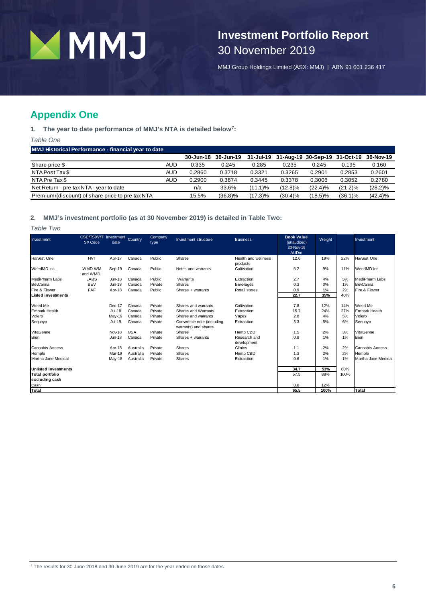

## **Investment Portfolio Report** 30 November 2019

MMJ Group Holdings Limited (ASX: MMJ) | ABN 91 601 236 417

### **Appendix One**

**1. The year to date performance of MMJ's NTA is detailed below[7](#page-5-0):**

*Table One*

**MMJ Historical Performance - financial year to date**

|                                                  |     | 30-Jun-18 | 30-Jun-19  |            | 31-Jul-19 31-Aug-19 30-Sep-19 31-Oct-19 |            |            | 30-Nov-19  |
|--------------------------------------------------|-----|-----------|------------|------------|-----------------------------------------|------------|------------|------------|
| Share price \$                                   | AUD | 0.335     | 0.245      | 0.285      | 0.235                                   | 0.245      | 0.195      | 0.160      |
| NTA Post Tax \$                                  | AUD | 0.2860    | 0.3718     | 0.3321     | 0.3265                                  | 0.2901     | 0.2853     | 0.2601     |
| NTA Pre Tax \$                                   | AUD | 0.2900    | 0.3874     | 0.3445     | 0.3378                                  | 0.3006     | 0.3052     | 0.2780     |
| Net Return - pre tax NTA - year to date          |     | n/a       | 33.6%      | $(11.1)\%$ | (12.8)%                                 | $(22.4)\%$ | $(21.2)\%$ | $(28.2)\%$ |
| Premium/(discount) of share price to pre tax NTA |     | 15.5%     | $(36.8)\%$ | $(17.3)\%$ | $(30.4)\%$                              | $(18.5)\%$ | $(36.1)\%$ | (42.4)%    |

#### **2. MMJ's investment portfolio (as at 30 November 2019) is detailed in Table Two:**

*Table Two*

<span id="page-5-0"></span>

| Investment                  | CSE/TSXV/T Investment<br>SX Code | date          | Country    | Company<br>type | Investment structure                                | <b>Business</b>             | <b>Book Value</b><br>(unaudited)<br>30-Nov-19<br><b>AUDm</b> | Weight |      | Investment          |
|-----------------------------|----------------------------------|---------------|------------|-----------------|-----------------------------------------------------|-----------------------------|--------------------------------------------------------------|--------|------|---------------------|
| Harvest One                 | <b>HVT</b>                       | Apr-17        | Canada     | Public          | Shares                                              | Health and wellness         | 12.6                                                         | 19%    | 22%  | Harvest One         |
| WeedMD Inc.                 | WMD.WM<br>and WMD.               | Sep-19        | Canada     | Public          | Notes and warrants                                  | products<br>Cultivation     | 6.2                                                          | 9%     | 11%  | WeedMD Inc.         |
| MediPharm Labs              | LABS                             | <b>Jun-18</b> | Canada     | Public          | Warrants                                            | Extraction                  | 2.7                                                          | 4%     | 5%   | MediPharm Labs      |
| BevCanna                    | <b>BEV</b>                       | <b>Jun-18</b> | Canada     | Private         | <b>Shares</b>                                       | <b>Beverages</b>            | 0.3                                                          | 0%     | 1%   | BevCanna            |
| Fire & Flower               | FAF                              | Apr-18        | Canada     | Public          | Shares + warrants                                   | Retail stores               | 0.9                                                          | 1%     | 2%   | Fire & Flower       |
| <b>Listed investments</b>   |                                  |               |            |                 |                                                     |                             | 22.7                                                         | 35%    | 40%  |                     |
| Weed Me                     |                                  | Dec-17        | Canada     | Private         | Shares and warrants                                 | Cultivation                 | 7.8                                                          | 12%    | 14%  | Weed Me             |
| <b>Embark Health</b>        |                                  | <b>Jul-18</b> | Canada     | Private         | Shares and Warrants                                 | Extraction                  | 15.7                                                         | 24%    | 27%  | Embark Health       |
| Volero                      |                                  | May-19        | Canada     | Private         | Shares and warrants                                 | Vapes                       | 2.8                                                          | 4%     | 5%   | Volero              |
| Sequoya                     |                                  | Jul-19        | Canada     | Private         | Convertible note (including<br>warrants) and shares | Extraction                  | 3.3                                                          | 5%     | 6%   | Sequoya             |
| VitaGenne                   |                                  | Nov-18        | <b>USA</b> | Private         | Shares                                              | Hemp CBD                    | 1.5                                                          | 2%     | 3%   | VitaGenne           |
| <b>Bien</b>                 |                                  | <b>Jun-18</b> | Canada     | Private         | Shares + warrants                                   | Research and<br>development | 0.8                                                          | 1%     | 1%   | Bien                |
| Cannabis Access             |                                  | Apr-18        | Australia  | Private         | Shares                                              | Clinics                     | 1.1                                                          | 2%     | 2%   | Cannabis Access     |
| Hemple                      |                                  | Mar-19        | Australia  | Private         | Shares                                              | Hemp CBD                    | 1.3                                                          | 2%     | 2%   | Hemple              |
| Martha Jane Medical         |                                  | May-18        | Australia  | Private         | Shares                                              | Extraction                  | 0.6                                                          | 1%     | 1%   | Martha Jane Medical |
| <b>Unlisted investments</b> |                                  |               |            |                 |                                                     |                             | 34.7                                                         | 53%    | 60%  |                     |
| <b>Total portfolio</b>      |                                  |               |            |                 |                                                     |                             | 57.5                                                         | 88%    | 100% |                     |
| excluding cash              |                                  |               |            |                 |                                                     |                             |                                                              |        |      |                     |
| Cash                        |                                  |               |            |                 |                                                     |                             | 8.0                                                          | 12%    |      |                     |
| Total                       |                                  |               |            |                 |                                                     |                             | 65.5                                                         | 100%   |      | Total               |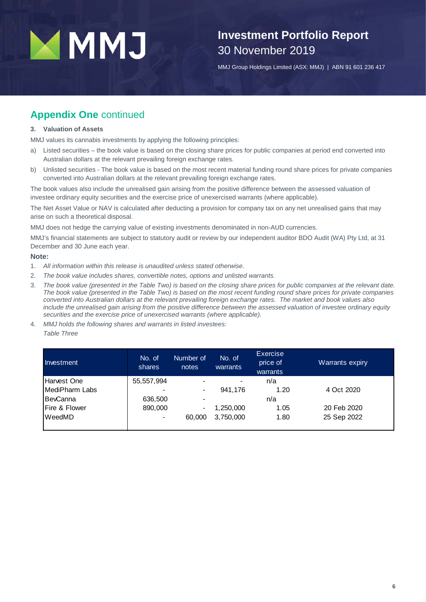## **Investment Portfolio Report** 30 November 2019

MMJ Group Holdings Limited (ASX: MMJ) | ABN 91 601 236 417

### **Appendix One** continued

#### **3. Valuation of Assets**

MMJ values its cannabis investments by applying the following principles:

- a) Listed securities the book value is based on the closing share prices for public companies at period end converted into Australian dollars at the relevant prevailing foreign exchange rates.
- b) Unlisted securities The book value is based on the most recent material funding round share prices for private companies converted into Australian dollars at the relevant prevailing foreign exchange rates.

The book values also include the unrealised gain arising from the positive difference between the assessed valuation of investee ordinary equity securities and the exercise price of unexercised warrants (where applicable).

The Net Asset Value or NAV is calculated after deducting a provision for company tax on any net unrealised gains that may arise on such a theoretical disposal.

MMJ does not hedge the carrying value of existing investments denominated in non-AUD currencies.

MMJ's financial statements are subject to statutory audit or review by our independent auditor BDO Audit (WA) Pty Ltd, at 31 December and 30 June each year.

#### **Note:**

- 1. *All information within this release is unaudited unless stated otherwise.*
- 2. *The book value includes shares, convertible notes, options and unlisted warrants.*
- 3. *The book value (presented in the Table Two) is based on the closing share prices for public companies at the relevant date. The book value (presented in the Table Two) is based on the most recent funding round share prices for private companies converted into Australian dollars at the relevant prevailing foreign exchange rates. The market and book values also include the unrealised gain arising from the positive difference between the assessed valuation of investee ordinary equity securities and the exercise price of unexercised warrants (where applicable).*
- 4. *MMJ holds the following shares and warrants in listed investees: Table Three*

| Investment     | No. of<br>shares | Number of<br>notes       | No. of<br>warrants | Exercise<br>price of<br>warrants | Warrants expiry |
|----------------|------------------|--------------------------|--------------------|----------------------------------|-----------------|
| Harvest One    | 55,557,994       | $\overline{\phantom{a}}$ | -                  | n/a                              |                 |
| MediPharm Labs |                  | $\blacksquare$           | 941.176            | 1.20                             | 4 Oct 2020      |
| BevCanna       | 636,500          | $\overline{\phantom{a}}$ |                    | n/a                              |                 |
| Fire & Flower  | 890,000          | $\blacksquare$           | 1,250,000          | 1.05                             | 20 Feb 2020     |
| WeedMD         |                  | 60,000                   | 3,750,000          | 1.80                             | 25 Sep 2022     |
|                |                  |                          |                    |                                  |                 |